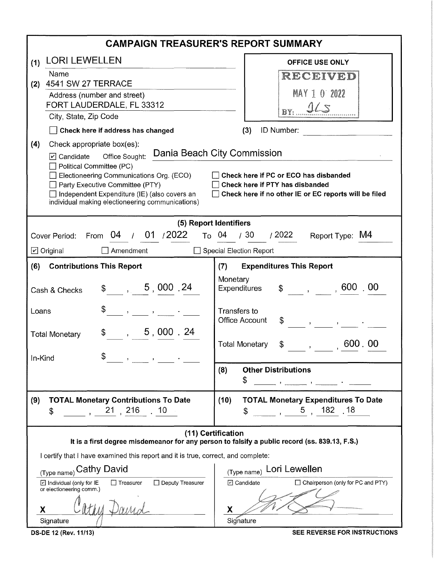| <b>CAMPAIGN TREASURER'S REPORT SUMMARY</b>                                                                          |                                                                                                                                                                                                                                                                                                                                                                                                                                                                                  |  |  |  |  |  |  |
|---------------------------------------------------------------------------------------------------------------------|----------------------------------------------------------------------------------------------------------------------------------------------------------------------------------------------------------------------------------------------------------------------------------------------------------------------------------------------------------------------------------------------------------------------------------------------------------------------------------|--|--|--|--|--|--|
| <b>LORI LEWELLEN</b><br>(1)                                                                                         | <b>OFFICE USE ONLY</b>                                                                                                                                                                                                                                                                                                                                                                                                                                                           |  |  |  |  |  |  |
| Name                                                                                                                | RECEIVED                                                                                                                                                                                                                                                                                                                                                                                                                                                                         |  |  |  |  |  |  |
| 4541 SW 27 TERRACE<br>(2)<br>Address (number and street)                                                            | MAY 1 0 2022                                                                                                                                                                                                                                                                                                                                                                                                                                                                     |  |  |  |  |  |  |
| FORT LAUDERDALE, FL 33312                                                                                           | YS                                                                                                                                                                                                                                                                                                                                                                                                                                                                               |  |  |  |  |  |  |
| City, State, Zip Code                                                                                               |                                                                                                                                                                                                                                                                                                                                                                                                                                                                                  |  |  |  |  |  |  |
| Check here if address has changed                                                                                   | ID Number:<br>(3)                                                                                                                                                                                                                                                                                                                                                                                                                                                                |  |  |  |  |  |  |
| (4)<br>Check appropriate box(es):                                                                                   |                                                                                                                                                                                                                                                                                                                                                                                                                                                                                  |  |  |  |  |  |  |
| ☑ Candidate Office Sought:<br>Political Committee (PC)                                                              | Dania Beach City Commission                                                                                                                                                                                                                                                                                                                                                                                                                                                      |  |  |  |  |  |  |
| Electioneering Communications Org. (ECO)                                                                            | Check here if PC or ECO has disbanded                                                                                                                                                                                                                                                                                                                                                                                                                                            |  |  |  |  |  |  |
| Party Executive Committee (PTY)<br>Independent Expenditure (IE) (also covers an                                     | Check here if PTY has disbanded<br>Check here if no other IE or EC reports will be filed                                                                                                                                                                                                                                                                                                                                                                                         |  |  |  |  |  |  |
| individual making electioneering communications)                                                                    |                                                                                                                                                                                                                                                                                                                                                                                                                                                                                  |  |  |  |  |  |  |
| (5) Report Identifiers                                                                                              |                                                                                                                                                                                                                                                                                                                                                                                                                                                                                  |  |  |  |  |  |  |
| Cover Period: From 04 / 01 / 2022                                                                                   | To $04$ / 30 / 2022 Report Type: M4                                                                                                                                                                                                                                                                                                                                                                                                                                              |  |  |  |  |  |  |
| $\Box$ Amendment<br>☑ Original                                                                                      | Special Election Report                                                                                                                                                                                                                                                                                                                                                                                                                                                          |  |  |  |  |  |  |
| (6)<br><b>Contributions This Report</b>                                                                             | <b>Expenditures This Report</b><br>(7)                                                                                                                                                                                                                                                                                                                                                                                                                                           |  |  |  |  |  |  |
| \$, 5,000.24<br>Cash & Checks                                                                                       | Monetary<br>$\$\qquad, \qquad, 600.00$<br>Expenditures                                                                                                                                                                                                                                                                                                                                                                                                                           |  |  |  |  |  |  |
| $\mathbf{r} = \mathbf{r} \mathbf{r}$ , where $\mathbf{r} = \mathbf{r} \mathbf{r}$<br>Loans                          | Transfers to<br><b>Office Account</b><br>\$<br>$\label{eq:3.1} \begin{array}{cccccccccc} \mathbf{1} & \mathbf{1} & \mathbf{1} & \mathbf{1} & \mathbf{1} & \mathbf{1} & \mathbf{1} & \mathbf{1} & \mathbf{1} & \mathbf{1} & \mathbf{1} & \mathbf{1} & \mathbf{1} & \mathbf{1} & \mathbf{1} & \mathbf{1} & \mathbf{1} & \mathbf{1} & \mathbf{1} & \mathbf{1} & \mathbf{1} & \mathbf{1} & \mathbf{1} & \mathbf{1} & \mathbf{1} & \mathbf{1} & \mathbf{1} & \mathbf{1} & \mathbf{1}$ |  |  |  |  |  |  |
| $\, 5 \, , \, 000 \, . \, 24$<br><b>Total Monetary</b>                                                              | 600.00<br>$\updownarrow$ ,<br><b>Total Monetary</b>                                                                                                                                                                                                                                                                                                                                                                                                                              |  |  |  |  |  |  |
| \$<br>In-Kind<br>$\mathbf{B}$ and $\mathbf{B}$ are all $\mathbf{B}$ . The set of $\mathbf{B}$                       |                                                                                                                                                                                                                                                                                                                                                                                                                                                                                  |  |  |  |  |  |  |
|                                                                                                                     | <b>Other Distributions</b><br>(8)                                                                                                                                                                                                                                                                                                                                                                                                                                                |  |  |  |  |  |  |
|                                                                                                                     | \$<br>the company of the company of the company of the company of the company of the company of the company of the company of the company of the company of the company of the company of the company of the company of the company                                                                                                                                                                                                                                              |  |  |  |  |  |  |
| <b>TOTAL Monetary Contributions To Date</b><br>(9)                                                                  | <b>TOTAL Monetary Expenditures To Date</b><br>(10)                                                                                                                                                                                                                                                                                                                                                                                                                               |  |  |  |  |  |  |
| 21,216<br>$\, 10$<br>\$                                                                                             | $\frac{1}{2}$ , 5, 182, 18<br>\$                                                                                                                                                                                                                                                                                                                                                                                                                                                 |  |  |  |  |  |  |
| (11) Certification<br>It is a first degree misdemeanor for any person to falsify a public record (ss. 839.13, F.S.) |                                                                                                                                                                                                                                                                                                                                                                                                                                                                                  |  |  |  |  |  |  |
| I certify that I have examined this report and it is true, correct, and complete:                                   |                                                                                                                                                                                                                                                                                                                                                                                                                                                                                  |  |  |  |  |  |  |
| (Type name) Cathy David<br>Lori Lewellen<br>(Type name)                                                             |                                                                                                                                                                                                                                                                                                                                                                                                                                                                                  |  |  |  |  |  |  |
| Deputy Treasurer<br>D Individual (only for IE<br>$\Box$ Treasurer<br>or electioneering comm.)                       | $\boxdot$ Candidate<br>$\Box$ Chairperson (only for PC and PTY)                                                                                                                                                                                                                                                                                                                                                                                                                  |  |  |  |  |  |  |
| Х<br>X<br>Signature<br>Signature                                                                                    |                                                                                                                                                                                                                                                                                                                                                                                                                                                                                  |  |  |  |  |  |  |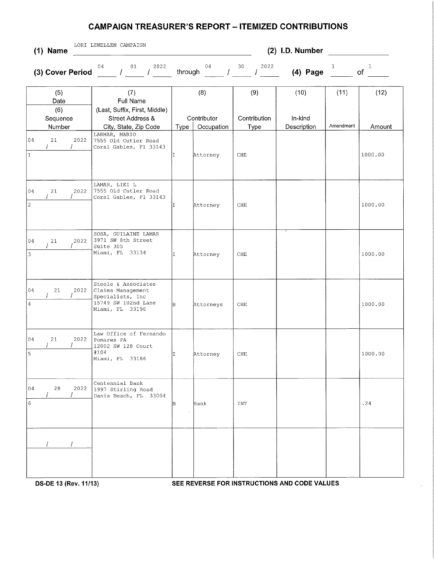## **CAMPAIGN TREASURER'S REPORT - ITEMIZED CONTRIBUTIONS**

| $(1)$ Name                                  | LORI LEWELLEN CAMPAIGN                                                                                          | (2) I.D. Number |                                  |                                    |                                |                   |                    |  |  |
|---------------------------------------------|-----------------------------------------------------------------------------------------------------------------|-----------------|----------------------------------|------------------------------------|--------------------------------|-------------------|--------------------|--|--|
| $(3)$ Cover Period $\overline{\phantom{a}}$ | 04<br>2022<br>01<br>$\mathcal{L}$                                                                               | through         | 04                               | 2022<br>30                         | $(4)$ Page                     | 1                 | $\mathbf{1}$<br>of |  |  |
| (5)<br>Date<br>(6)<br>Sequence<br>Number    | (7)<br>Full Name<br>(Last, Suffix, First, Middle)<br>Street Address &<br>City, State, Zip Code<br>LARMAR, MARIO | Type            | (8)<br>Contributor<br>Occupation | (9)<br>Contribution<br><b>Type</b> | (10)<br>In-kind<br>Description | (11)<br>Amendment | (12)<br>Amount     |  |  |
| 04<br>21<br>2022<br>$\overline{1}$          | 7555 Old Cutler Road<br>Coral Gables, Fl 33143                                                                  | II              | Attorney                         | CHE                                |                                |                   | 1000.00            |  |  |
| 04<br>21<br>2022<br>$\sqrt{2}$              | LAMAR, LIKI L<br>7555 Old Cutler Road<br>Coral Gables, Fl 33143                                                 | IT.             | Attorney                         | CHE                                |                                |                   | 1000.00            |  |  |
| 04<br>21<br>2022<br>3                       | SOSA, GUILAINE LAMAR<br>3971 SW 8th Street<br>Suite 305<br>Miami, FL 33134                                      | T.              | Attorney                         | CHE                                |                                |                   | 1000.00            |  |  |
| 2022<br>04<br>21<br>4                       | Steele & Associates<br>Claims Management<br>Specialists, Inc<br>15749 SW 102nd Lane<br>Miami, FL 33196          | B.              | Attorneys                        | CHE                                |                                |                   | 1000.00            |  |  |
| 04<br>21<br>2022<br>$\overline{5}$          | Law Office of Fernando<br>Pomares PA<br>12002 SW 128 Court<br>#104<br>Miami, FL 33186                           | Iт.             | Attorney                         | ${\rm CHE}$                        |                                |                   | 1000.00            |  |  |
| 04<br>28<br>2022<br>6                       | Centennial Bank<br>1997 Stirling Road<br>Dania Beach, FL 33004                                                  | B               | Bank                             | INT                                |                                |                   | .24                |  |  |
|                                             |                                                                                                                 |                 |                                  |                                    |                                |                   |                    |  |  |

**DS-DE 13 (Rev. 11/13) SEE REVERSE FOR INSTRUCTIONS AND CODE VALUES**